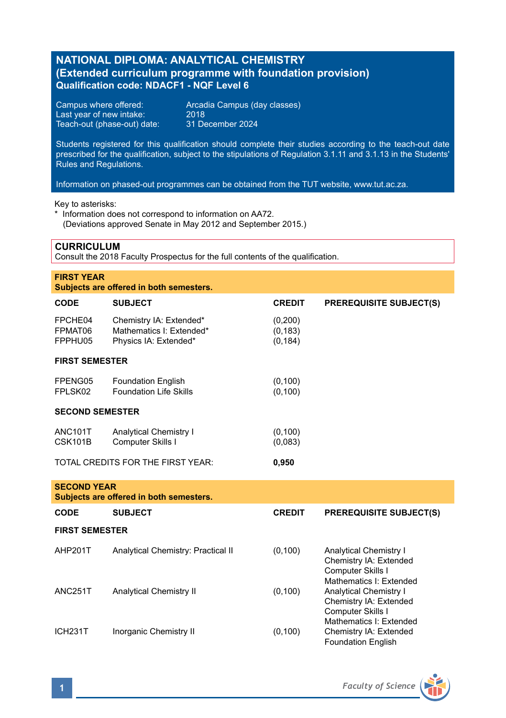# **NATIONAL DIPLOMA: ANALYTICAL CHEMISTRY (Extended curriculum programme with foundation provision) Qualification code: NDACF1 - NQF Level 6**

Last year of new intake: 2018<br>Teach-out (phase-out) date: 31 December 2024 Teach-out (phase-out) date:

Campus where offered: <br>
Last vear of new intake: 2018<br>
2018

Students registered for this qualification should complete their studies according to the teach-out date prescribed for the qualification, subject to the stipulations of Regulation 3.1.11 and 3.1.13 in the Students' Rules and Regulations.

Information on phased-out programmes can be obtained from the TUT website, www.tut.ac.za.

Key to asterisks:

\* Information does not correspond to information on AA72. (Deviations approved Senate in May 2012 and September 2015.)

# **CURRICULUM**

Consult the 2018 Faculty Prospectus for the full contents of the qualification.

| <b>FIRST YEAR</b><br>Subjects are offered in both semesters.  |                                                                              |                                 |                                                                                                         |  |
|---------------------------------------------------------------|------------------------------------------------------------------------------|---------------------------------|---------------------------------------------------------------------------------------------------------|--|
| CODE                                                          | <b>SUBJECT</b>                                                               | <b>CREDIT</b>                   | <b>PREREQUISITE SUBJECT(S)</b>                                                                          |  |
| FPCHE04<br>FPMAT06<br>FPPHU05                                 | Chemistry IA: Extended*<br>Mathematics I: Extended*<br>Physics IA: Extended* | (0,200)<br>(0, 183)<br>(0, 184) |                                                                                                         |  |
| <b>FIRST SEMESTER</b>                                         |                                                                              |                                 |                                                                                                         |  |
| FPENG05<br>FPLSK02                                            | <b>Foundation English</b><br><b>Foundation Life Skills</b>                   | (0, 100)<br>(0, 100)            |                                                                                                         |  |
| <b>SECOND SEMESTER</b>                                        |                                                                              |                                 |                                                                                                         |  |
| ANC101T<br>CSK101B                                            | <b>Analytical Chemistry I</b><br>Computer Skills I                           | (0, 100)<br>(0,083)             |                                                                                                         |  |
|                                                               | TOTAL CREDITS FOR THE FIRST YEAR:                                            | 0,950                           |                                                                                                         |  |
| <b>SECOND YEAR</b><br>Subjects are offered in both semesters. |                                                                              |                                 |                                                                                                         |  |
| CODE                                                          | <b>SUBJECT</b>                                                               | <b>CREDIT</b>                   | <b>PREREQUISITE SUBJECT(S)</b>                                                                          |  |
| <b>FIRST SEMESTER</b>                                         |                                                                              |                                 |                                                                                                         |  |
| AHP201T                                                       | Analytical Chemistry: Practical II                                           | (0, 100)                        | <b>Analytical Chemistry I</b><br>Chemistry IA: Extended<br>Computer Skills I<br>Mathematics I: Extended |  |
| ANC251T                                                       | Analytical Chemistry II                                                      | (0, 100)                        | <b>Analytical Chemistry I</b><br>Chemistry IA: Extended<br>Computer Skills I<br>Mathematics I: Extended |  |
| ICH <sub>231</sub> T                                          | Inorganic Chemistry II                                                       | (0, 100)                        | Chemistry IA: Extended<br><b>Foundation English</b>                                                     |  |

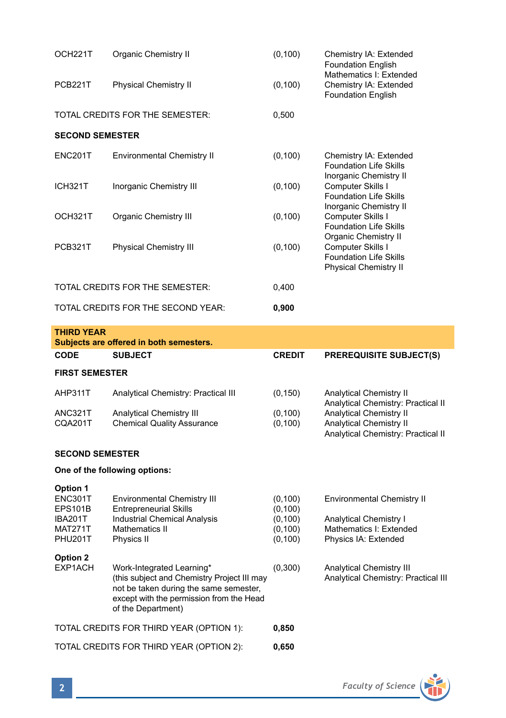| OCH221T                | <b>Organic Chemistry II</b>        | (0, 100) | Chemistry IA: Extended<br><b>Foundation English</b><br>Mathematics I: Extended     |  |
|------------------------|------------------------------------|----------|------------------------------------------------------------------------------------|--|
| <b>PCB221T</b>         | <b>Physical Chemistry II</b>       | (0, 100) | Chemistry IA: Extended<br><b>Foundation English</b>                                |  |
|                        | TOTAL CREDITS FOR THE SEMESTER:    | 0,500    |                                                                                    |  |
| <b>SECOND SEMESTER</b> |                                    |          |                                                                                    |  |
| <b>ENC201T</b>         | <b>Environmental Chemistry II</b>  | (0, 100) | Chemistry IA: Extended<br><b>Foundation Life Skills</b><br>Inorganic Chemistry II  |  |
| ICH321T                | Inorganic Chemistry III            | (0, 100) | Computer Skills I<br><b>Foundation Life Skills</b><br>Inorganic Chemistry II       |  |
| OCH321T                | Organic Chemistry III              | (0,100)  | Computer Skills I<br><b>Foundation Life Skills</b><br>Organic Chemistry II         |  |
| <b>PCB321T</b>         | <b>Physical Chemistry III</b>      | (0, 100) | Computer Skills I<br><b>Foundation Life Skills</b><br><b>Physical Chemistry II</b> |  |
|                        | TOTAL CREDITS FOR THE SEMESTER:    | 0,400    |                                                                                    |  |
|                        | TOTAL CREDITS FOR THE SECOND YEAR: | 0,900    |                                                                                    |  |

| <b>THIRD YEAR</b><br>Subjects are offered in both semesters. |                                     |               |                                                                      |  |
|--------------------------------------------------------------|-------------------------------------|---------------|----------------------------------------------------------------------|--|
| <b>CODE</b>                                                  | <b>SUBJECT</b>                      | <b>CREDIT</b> | <b>PREREQUISITE SUBJECT(S)</b>                                       |  |
| <b>FIRST SEMESTER</b>                                        |                                     |               |                                                                      |  |
| AHP311T                                                      | Analytical Chemistry: Practical III | (0, 150)      | <b>Analytical Chemistry II</b><br>Analytical Chemistry: Practical II |  |
| <b>ANC321T</b>                                               | <b>Analytical Chemistry III</b>     | (0, 100)      | Analytical Chemistry II                                              |  |
| CQA201T                                                      | <b>Chemical Quality Assurance</b>   | (0, 100)      | <b>Analytical Chemistry II</b><br>Analytical Chemistry: Practical II |  |
| <b>SECOND SEMESTER</b>                                       |                                     |               |                                                                      |  |
| One of the following options:                                |                                     |               |                                                                      |  |
| Option 1                                                     |                                     |               |                                                                      |  |
| <b>ENC301T</b>                                               | <b>Environmental Chemistry III</b>  | (0,100)       | <b>Environmental Chemistry II</b>                                    |  |
| EPS <sub>101</sub> B                                         | <b>Entrepreneurial Skills</b>       | (0.100)       | .                                                                    |  |

| <b>IBA201T</b> | <b>Industrial Chemical Analysis</b>                                                                                                                                                  | (0, 100) | Analytical Chemistry I                                                        |
|----------------|--------------------------------------------------------------------------------------------------------------------------------------------------------------------------------------|----------|-------------------------------------------------------------------------------|
| <b>MAT271T</b> | Mathematics II                                                                                                                                                                       | (0, 100) | Mathematics I: Extended                                                       |
| <b>PHU201T</b> | Physics II                                                                                                                                                                           | (0, 100) | Physics IA: Extended                                                          |
| Option 2       |                                                                                                                                                                                      |          |                                                                               |
| EXP1ACH        | Work-Integrated Learning*<br>(this subject and Chemistry Project III may<br>not be taken during the same semester,<br>except with the permission from the Head<br>of the Department) | (0,300)  | <b>Analytical Chemistry III</b><br><b>Analytical Chemistry: Practical III</b> |
|                | TOTAL CREDITS FOR THIRD YEAR (OPTION 1):                                                                                                                                             | 0,850    |                                                                               |

TOTAL CREDITS FOR THIRD YEAR (OPTION 2): **0,650**

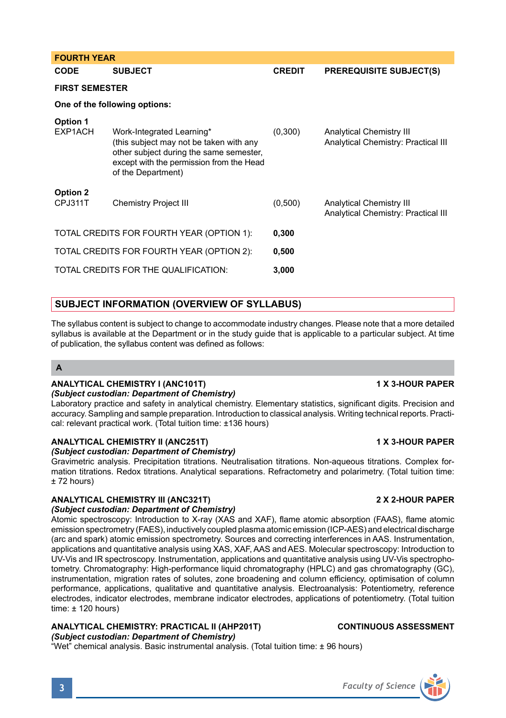| CODE                  | <b>SUBJECT</b>                                                                                                                                                                    | <b>CREDIT</b> | <b>PREREQUISITE SUBJECT(S)</b>                                         |  |
|-----------------------|-----------------------------------------------------------------------------------------------------------------------------------------------------------------------------------|---------------|------------------------------------------------------------------------|--|
| <b>FIRST SEMESTER</b> |                                                                                                                                                                                   |               |                                                                        |  |
|                       | One of the following options:                                                                                                                                                     |               |                                                                        |  |
| Option 1<br>EXP1ACH   | Work-Integrated Learning*<br>(this subject may not be taken with any<br>other subject during the same semester,<br>except with the permission from the Head<br>of the Department) | (0,300)       | <b>Analytical Chemistry III</b><br>Analytical Chemistry: Practical III |  |
| Option 2<br>CPJ311T   | <b>Chemistry Project III</b>                                                                                                                                                      | (0,500)       | <b>Analytical Chemistry III</b><br>Analytical Chemistry: Practical III |  |
|                       | TOTAL CREDITS FOR FOURTH YEAR (OPTION 1):                                                                                                                                         | 0,300         |                                                                        |  |
|                       | TOTAL CREDITS FOR FOURTH YEAR (OPTION 2):                                                                                                                                         | 0,500         |                                                                        |  |
|                       | TOTAL CREDITS FOR THE QUALIFICATION:                                                                                                                                              | 3,000         |                                                                        |  |
|                       |                                                                                                                                                                                   |               |                                                                        |  |

# **SUBJECT INFORMATION (OVERVIEW OF SYLLABUS)**

The syllabus content is subject to change to accommodate industry changes. Please note that a more detailed syllabus is available at the Department or in the study guide that is applicable to a particular subject. At time of publication, the syllabus content was defined as follows:

# **A**

**FOURTH YEAR**

# **ANALYTICAL CHEMISTRY I (ANC101T) 1 X 3-HOUR PAPER**

# *(Subject custodian: Department of Chemistry)*

Laboratory practice and safety in analytical chemistry. Elementary statistics, significant digits. Precision and accuracy. Sampling and sample preparation. Introduction to classical analysis. Writing technical reports. Practical: relevant practical work. (Total tuition time: ±136 hours)

# **ANALYTICAL CHEMISTRY II (ANC251T) 1 X 3-HOUR PAPER**

# *(Subject custodian: Department of Chemistry)*

Gravimetric analysis. Precipitation titrations. Neutralisation titrations. Non-aqueous titrations. Complex formation titrations. Redox titrations. Analytical separations. Refractometry and polarimetry. (Total tuition time: ± 72 hours)

# **ANALYTICAL CHEMISTRY III (ANC321T) 2 X 2-HOUR PAPER**

# *(Subject custodian: Department of Chemistry)*

Atomic spectroscopy: Introduction to X-ray (XAS and XAF), flame atomic absorption (FAAS), flame atomic emission spectrometry (FAES), inductively coupled plasma atomic emission (ICP-AES) and electrical discharge (arc and spark) atomic emission spectrometry. Sources and correcting interferences in AAS. Instrumentation, applications and quantitative analysis using XAS, XAF, AAS and AES. Molecular spectroscopy: Introduction to UV-Vis and IR spectroscopy. Instrumentation, applications and quantitative analysis using UV-Vis spectrophotometry. Chromatography: High-performance liquid chromatography (HPLC) and gas chromatography (GC), instrumentation, migration rates of solutes, zone broadening and column efficiency, optimisation of column performance, applications, qualitative and quantitative analysis. Electroanalysis: Potentiometry, reference electrodes, indicator electrodes, membrane indicator electrodes, applications of potentiometry. (Total tuition time:  $\pm$  120 hours)

# **ANALYTICAL CHEMISTRY: PRACTICAL II (AHP201T) CONTINUOUS ASSESSMENT**

*(Subject custodian: Department of Chemistry)* "Wet" chemical analysis. Basic instrumental analysis. (Total tuition time: ± 96 hours)

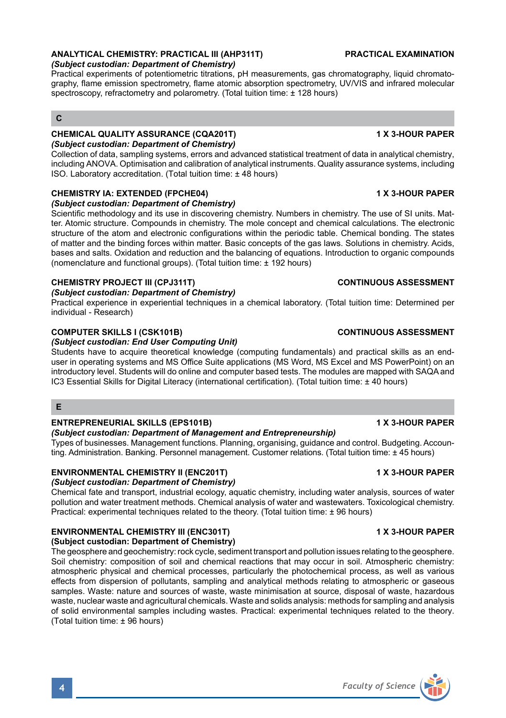# **ANALYTICAL CHEMISTRY: PRACTICAL III (AHP311T) PRACTICAL EXAMINATION**

# *(Subject custodian: Department of Chemistry)*

Practical experiments of potentiometric titrations, pH measurements, gas chromatography, liquid chromatography, flame emission spectrometry, flame atomic absorption spectrometry, UV/VIS and infrared molecular spectroscopy, refractometry and polarometry. (Total tuition time: ± 128 hours)

# **C**

### **CHEMICAL QUALITY ASSURANCE (CQA201T) 1 X 3-HOUR PAPER** *(Subject custodian: Department of Chemistry)*

Collection of data, sampling systems, errors and advanced statistical treatment of data in analytical chemistry, including ANOVA. Optimisation and calibration of analytical instruments. Quality assurance systems, including ISO. Laboratory accreditation. (Total tuition time: ± 48 hours)

### **CHEMISTRY IA: EXTENDED (FPCHE04) 1 X 3-HOUR PAPER** *(Subject custodian: Department of Chemistry)*

Scientific methodology and its use in discovering chemistry. Numbers in chemistry. The use of SI units. Matter. Atomic structure. Compounds in chemistry. The mole concept and chemical calculations. The electronic structure of the atom and electronic configurations within the periodic table. Chemical bonding. The states of matter and the binding forces within matter. Basic concepts of the gas laws. Solutions in chemistry. Acids, bases and salts. Oxidation and reduction and the balancing of equations. Introduction to organic compounds (nomenclature and functional groups). (Total tuition time: ± 192 hours)

# **CHEMISTRY PROJECT III (CPJ311T) CONTINUOUS ASSESSMENT**

### *(Subject custodian: Department of Chemistry)*

Practical experience in experiential techniques in a chemical laboratory. (Total tuition time: Determined per individual - Research)

### **COMPUTER SKILLS I (CSK101B) CONTINUOUS ASSESSMENT**

### *(Subject custodian: End User Computing Unit)*

Students have to acquire theoretical knowledge (computing fundamentals) and practical skills as an enduser in operating systems and MS Office Suite applications (MS Word, MS Excel and MS PowerPoint) on an introductory level. Students will do online and computer based tests. The modules are mapped with SAQA and IC3 Essential Skills for Digital Literacy (international certification). (Total tuition time: ± 40 hours)

## **E**

# **ENTREPRENEURIAL SKILLS (EPS101B) 1 X 3-HOUR PAPER**

### *(Subject custodian: Department of Management and Entrepreneurship)*

Types of businesses. Management functions. Planning, organising, guidance and control. Budgeting. Accounting. Administration. Banking. Personnel management. Customer relations. (Total tuition time: ± 45 hours)

# **ENVIRONMENTAL CHEMISTRY II (ENC201T) 1 X 3-HOUR PAPER**

### *(Subject custodian: Department of Chemistry)*

Chemical fate and transport, industrial ecology, aquatic chemistry, including water analysis, sources of water pollution and water treatment methods. Chemical analysis of water and wastewaters. Toxicological chemistry. Practical: experimental techniques related to the theory. (Total tuition time: ± 96 hours)

# **ENVIRONMENTAL CHEMISTRY III (ENC301T) 1 X 3-HOUR PAPER**

# **(Subject custodian: Department of Chemistry)**

The geosphere and geochemistry: rock cycle, sediment transport and pollution issues relating to the geosphere. Soil chemistry: composition of soil and chemical reactions that may occur in soil. Atmospheric chemistry: atmospheric physical and chemical processes, particularly the photochemical process, as well as various effects from dispersion of pollutants, sampling and analytical methods relating to atmospheric or gaseous samples. Waste: nature and sources of waste, waste minimisation at source, disposal of waste, hazardous waste, nuclear waste and agricultural chemicals. Waste and solids analysis: methods for sampling and analysis of solid environmental samples including wastes. Practical: experimental techniques related to the theory. (Total tuition time: ± 96 hours)

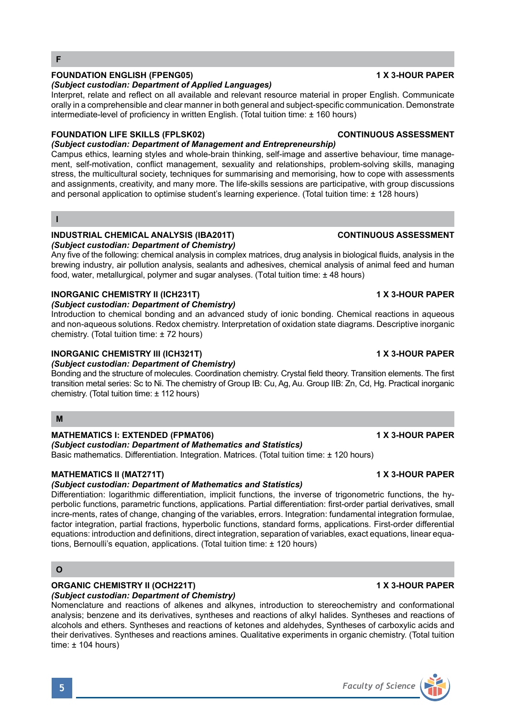# **FOUNDATION ENGLISH (FPENG05) 1 X 3-HOUR PAPER**

### *(Subject custodian: Department of Applied Languages)*

Interpret, relate and reflect on all available and relevant resource material in proper English. Communicate orally in a comprehensible and clear manner in both general and subject-specific communication. Demonstrate intermediate-level of proficiency in written English. (Total tuition time: ± 160 hours)

# **FOUNDATION LIFE SKILLS (FPLSK02) CONTINUOUS ASSESSMENT**

*(Subject custodian: Department of Management and Entrepreneurship)* Campus ethics, learning styles and whole-brain thinking, self-image and assertive behaviour, time management, self-motivation, conflict management, sexuality and relationships, problem-solving skills, managing stress, the multicultural society, techniques for summarising and memorising, how to cope with assessments and assignments, creativity, and many more. The life-skills sessions are participative, with group discussions and personal application to optimise student's learning experience. (Total tuition time: ± 128 hours)

### **I**

# **INDUSTRIAL CHEMICAL ANALYSIS (IBA201T) CONTINUOUS ASSESSMENT**

# *(Subject custodian: Department of Chemistry)*

Any five of the following: chemical analysis in complex matrices, drug analysis in biological fluids, analysis in the brewing industry, air pollution analysis, sealants and adhesives, chemical analysis of animal feed and human food, water, metallurgical, polymer and sugar analyses. (Total tuition time: ± 48 hours)

## **INORGANIC CHEMISTRY II (ICH231T) 1 X 3-HOUR PAPER**

*(Subject custodian: Department of Chemistry)*

Introduction to chemical bonding and an advanced study of ionic bonding. Chemical reactions in aqueous and non-aqueous solutions. Redox chemistry. Interpretation of oxidation state diagrams. Descriptive inorganic chemistry. (Total tuition time: ± 72 hours)

## **INORGANIC CHEMISTRY III (ICH321T) 1 X 3-HOUR PAPER**

# *(Subject custodian: Department of Chemistry)*

Bonding and the structure of molecules. Coordination chemistry. Crystal field theory. Transition elements. The first transition metal series: Sc to Ni. The chemistry of Group IB: Cu, Ag, Au. Group IIB: Zn, Cd, Hg. Practical inorganic chemistry. (Total tuition time: ± 112 hours)

### **M**

# **MATHEMATICS I: EXTENDED (FPMAT06) 1 X 3-HOUR PAPER**

# *(Subject custodian: Department of Mathematics and Statistics)*

Basic mathematics. Differentiation. Integration. Matrices. (Total tuition time: ± 120 hours)

# **MATHEMATICS II (MAT271T) 1 X 3-HOUR PAPER**

# *(Subject custodian: Department of Mathematics and Statistics)*

Differentiation: logarithmic differentiation, implicit functions, the inverse of trigonometric functions, the hyperbolic functions, parametric functions, applications. Partial differentiation: first-order partial derivatives, small incre-ments, rates of change, changing of the variables, errors. Integration: fundamental integration formulae, factor integration, partial fractions, hyperbolic functions, standard forms, applications. First-order differential equations: introduction and definitions, direct integration, separation of variables, exact equations, linear equations, Bernoulli's equation, applications. (Total tuition time: ± 120 hours)

# **O**

# **ORGANIC CHEMISTRY II (OCH221T) 1 X 3-HOUR PAPER**

*(Subject custodian: Department of Chemistry)* Nomenclature and reactions of alkenes and alkynes, introduction to stereochemistry and conformational analysis; benzene and its derivatives, syntheses and reactions of alkyl halides. Syntheses and reactions of alcohols and ethers. Syntheses and reactions of ketones and aldehydes, Syntheses of carboxylic acids and their derivatives. Syntheses and reactions amines. Qualitative experiments in organic chemistry. (Total tuition time: ± 104 hours)

# **5** *Faculty of Science*